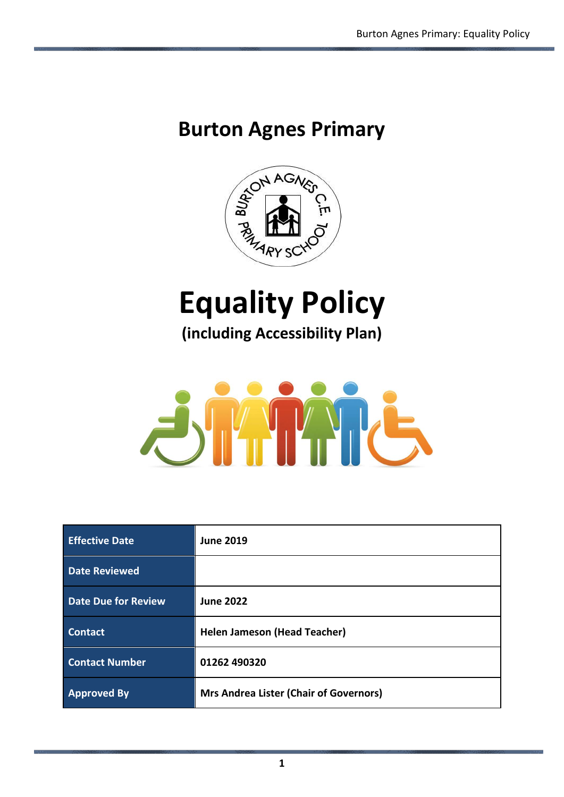# **Burton Agnes Primary**



# **Equality Policy**

**(including Accessibility Plan)**



| <b>Effective Date</b>      | <b>June 2019</b>                              |
|----------------------------|-----------------------------------------------|
| <b>Date Reviewed</b>       |                                               |
| <b>Date Due for Review</b> | <b>June 2022</b>                              |
| <b>Contact</b>             | Helen Jameson (Head Teacher)                  |
| <b>Contact Number</b>      | 01262 490320                                  |
| <b>Approved By</b>         | <b>Mrs Andrea Lister (Chair of Governors)</b> |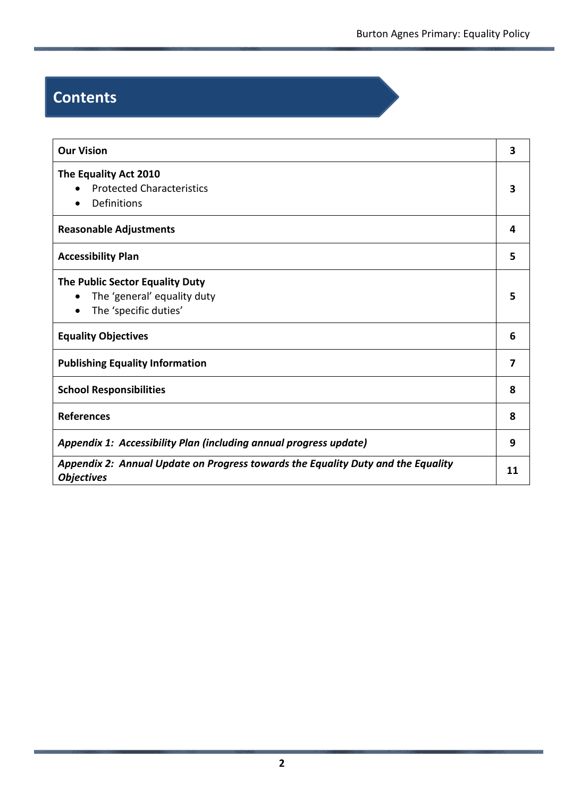## **Contents**

| <b>Our Vision</b>                                                                                     | 3 |
|-------------------------------------------------------------------------------------------------------|---|
| The Equality Act 2010<br><b>Protected Characteristics</b><br>Definitions                              | 3 |
| <b>Reasonable Adjustments</b>                                                                         | 4 |
| <b>Accessibility Plan</b>                                                                             | 5 |
| The Public Sector Equality Duty<br>The 'general' equality duty<br>The 'specific duties'               | 5 |
| <b>Equality Objectives</b>                                                                            | 6 |
| <b>Publishing Equality Information</b>                                                                | 7 |
| <b>School Responsibilities</b>                                                                        | 8 |
| <b>References</b>                                                                                     | 8 |
| Appendix 1: Accessibility Plan (including annual progress update)                                     | 9 |
| Appendix 2: Annual Update on Progress towards the Equality Duty and the Equality<br><b>Objectives</b> |   |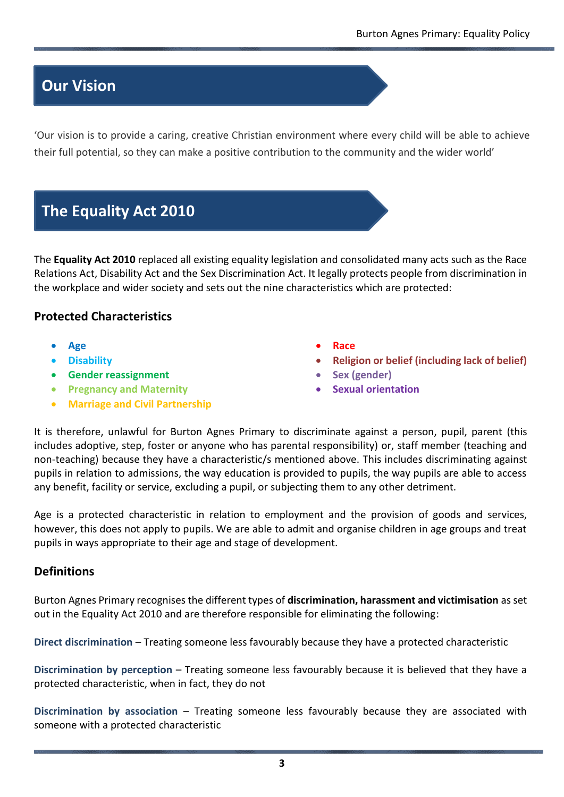## **Our Vision**

'Our vision is to provide a caring, creative Christian environment where every child will be able to achieve their full potential, so they can make a positive contribution to the community and the wider world'

## **The Equality Act 2010**

The **Equality Act 2010** replaced all existing equality legislation and consolidated many acts such as the Race Relations Act, Disability Act and the Sex Discrimination Act. It legally protects people from discrimination in the workplace and wider society and sets out the nine characteristics which are protected:

#### **Protected Characteristics**

- **Age**
- **Disability**
- **Gender reassignment**
- **Pregnancy and Maternity**
- **Marriage and Civil Partnership**
- **Race**
- **Religion or belief (including lack of belief)**
- **Sex (gender)**
- **Sexual orientation**

It is therefore, unlawful for Burton Agnes Primary to discriminate against a person, pupil, parent (this includes adoptive, step, foster or anyone who has parental responsibility) or, staff member (teaching and non-teaching) because they have a characteristic/s mentioned above. This includes discriminating against pupils in relation to admissions, the way education is provided to pupils, the way pupils are able to access any benefit, facility or service, excluding a pupil, or subjecting them to any other detriment.

Age is a protected characteristic in relation to employment and the provision of goods and services, however, this does not apply to pupils. We are able to admit and organise children in age groups and treat pupils in ways appropriate to their age and stage of development.

#### **Definitions**

Burton Agnes Primary recognises the different types of **discrimination, harassment and victimisation** as set out in the Equality Act 2010 and are therefore responsible for eliminating the following:

**Direct discrimination** – Treating someone less favourably because they have a protected characteristic

**Discrimination by perception** – Treating someone less favourably because it is believed that they have a protected characteristic, when in fact, they do not

**Discrimination by association** – Treating someone less favourably because they are associated with someone with a protected characteristic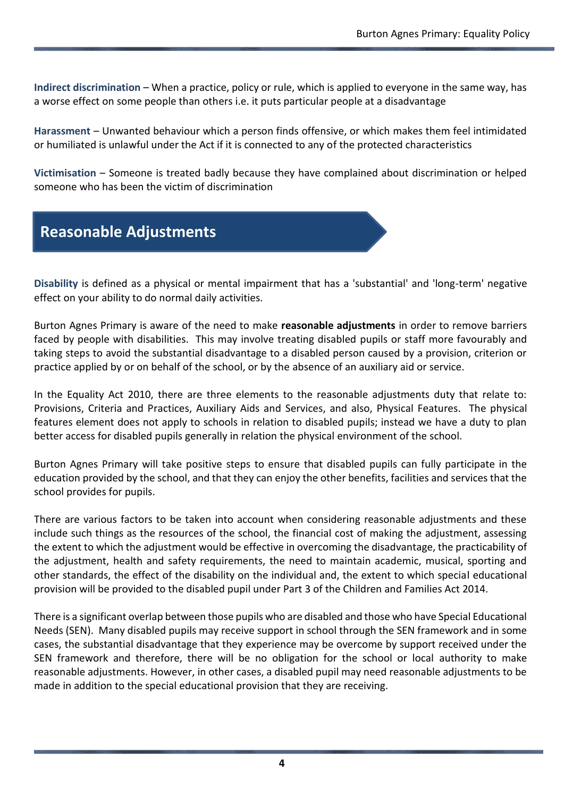**Indirect discrimination** – When a practice, policy or rule, which is applied to everyone in the same way, has a worse effect on some people than others i.e. it puts particular people at a disadvantage

**Harassment** – Unwanted behaviour which a person finds offensive, or which makes them feel intimidated or humiliated is unlawful under the Act if it is connected to any of the protected characteristics

**Victimisation** – Someone is treated badly because they have complained about discrimination or helped someone who has been the victim of discrimination

## **Reasonable Adjustments**

**Disability** is defined as a physical or mental impairment that has a 'substantial' and 'long-term' negative effect on your ability to do normal daily activities.

Burton Agnes Primary is aware of the need to make **reasonable adjustments** in order to remove barriers faced by people with disabilities. This may involve treating disabled pupils or staff more favourably and taking steps to avoid the substantial disadvantage to a disabled person caused by a provision, criterion or practice applied by or on behalf of the school, or by the absence of an auxiliary aid or service.

In the Equality Act 2010, there are three elements to the reasonable adjustments duty that relate to: Provisions, Criteria and Practices, Auxiliary Aids and Services, and also, Physical Features. The physical features element does not apply to schools in relation to disabled pupils; instead we have a duty to plan better access for disabled pupils generally in relation the physical environment of the school.

Burton Agnes Primary will take positive steps to ensure that disabled pupils can fully participate in the education provided by the school, and that they can enjoy the other benefits, facilities and services that the school provides for pupils.

There are various factors to be taken into account when considering reasonable adjustments and these include such things as the resources of the school, the financial cost of making the adjustment, assessing the extent to which the adjustment would be effective in overcoming the disadvantage, the practicability of the adjustment, health and safety requirements, the need to maintain academic, musical, sporting and other standards, the effect of the disability on the individual and, the extent to which special educational provision will be provided to the disabled pupil under Part 3 of the Children and Families Act 2014.

There is a significant overlap between those pupils who are disabled and those who have Special Educational Needs (SEN). Many disabled pupils may receive support in school through the SEN framework and in some cases, the substantial disadvantage that they experience may be overcome by support received under the SEN framework and therefore, there will be no obligation for the school or local authority to make reasonable adjustments. However, in other cases, a disabled pupil may need reasonable adjustments to be made in addition to the special educational provision that they are receiving.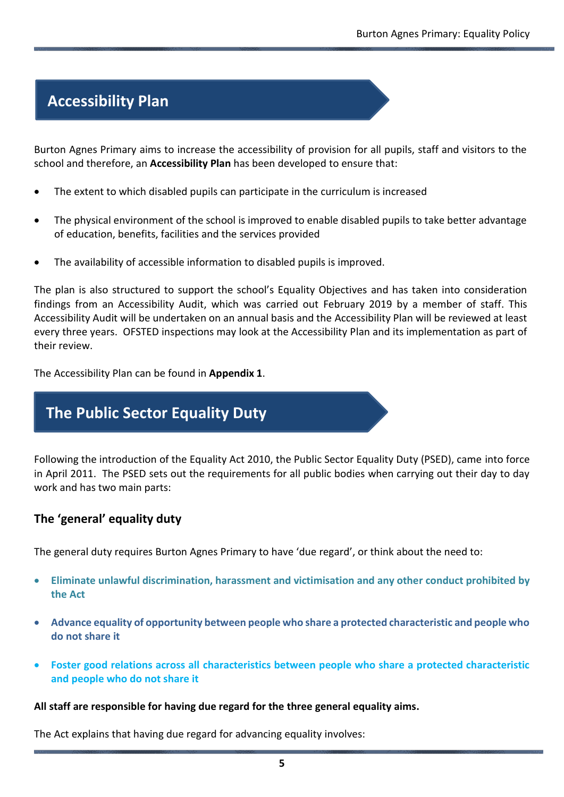## **Accessibility Plan**

Burton Agnes Primary aims to increase the accessibility of provision for all pupils, staff and visitors to the school and therefore, an **Accessibility Plan** has been developed to ensure that:

- The extent to which disabled pupils can participate in the curriculum is increased
- The physical environment of the school is improved to enable disabled pupils to take better advantage of education, benefits, facilities and the services provided
- The availability of accessible information to disabled pupils is improved.

The plan is also structured to support the school's Equality Objectives and has taken into consideration findings from an Accessibility Audit, which was carried out February 2019 by a member of staff. This Accessibility Audit will be undertaken on an annual basis and the Accessibility Plan will be reviewed at least every three years. OFSTED inspections may look at the Accessibility Plan and its implementation as part of their review.

The Accessibility Plan can be found in **Appendix 1**.

## **The Public Sector Equality Duty**

Following the introduction of the Equality Act 2010, the Public Sector Equality Duty (PSED), came into force in April 2011. The PSED sets out the requirements for all public bodies when carrying out their day to day work and has two main parts:

#### **The 'general' equality duty**

The general duty requires Burton Agnes Primary to have 'due regard', or think about the need to:

- **Eliminate unlawful discrimination, harassment and victimisation and any other conduct prohibited by the Act**
- **Advance equality of opportunity between people who share a protected characteristic and people who do not share it**
- **Foster good relations across all characteristics between people who share a protected characteristic and people who do not share it**

#### **All staff are responsible for having due regard for the three general equality aims.**

The Act explains that having due regard for advancing equality involves: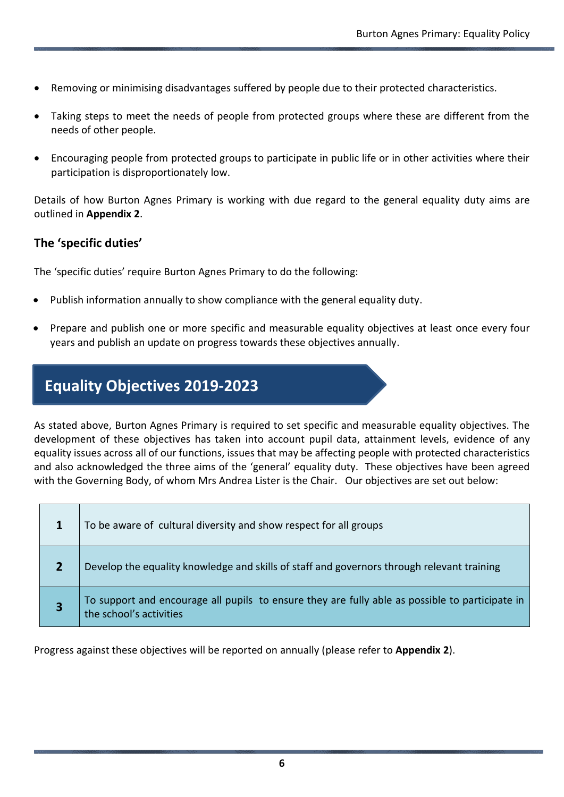- Removing or minimising disadvantages suffered by people due to their protected characteristics.
- Taking steps to meet the needs of people from protected groups where these are different from the needs of other people.
- Encouraging people from protected groups to participate in public life or in other activities where their participation is disproportionately low.

Details of how Burton Agnes Primary is working with due regard to the general equality duty aims are outlined in **Appendix 2**.

#### **The 'specific duties'**

The 'specific duties' require Burton Agnes Primary to do the following:

- Publish information annually to show compliance with the general equality duty.
- Prepare and publish one or more specific and measurable equality objectives at least once every four years and publish an update on progress towards these objectives annually.

## **Equality Objectives 2019-2023**

As stated above, Burton Agnes Primary is required to set specific and measurable equality objectives. The development of these objectives has taken into account pupil data, attainment levels, evidence of any equality issues across all of our functions, issues that may be affecting people with protected characteristics and also acknowledged the three aims of the 'general' equality duty. These objectives have been agreed with the Governing Body, of whom Mrs Andrea Lister is the Chair. Our objectives are set out below:

| To be aware of cultural diversity and show respect for all groups                                                          |
|----------------------------------------------------------------------------------------------------------------------------|
| Develop the equality knowledge and skills of staff and governors through relevant training                                 |
| To support and encourage all pupils to ensure they are fully able as possible to participate in<br>the school's activities |

Progress against these objectives will be reported on annually (please refer to **Appendix 2**).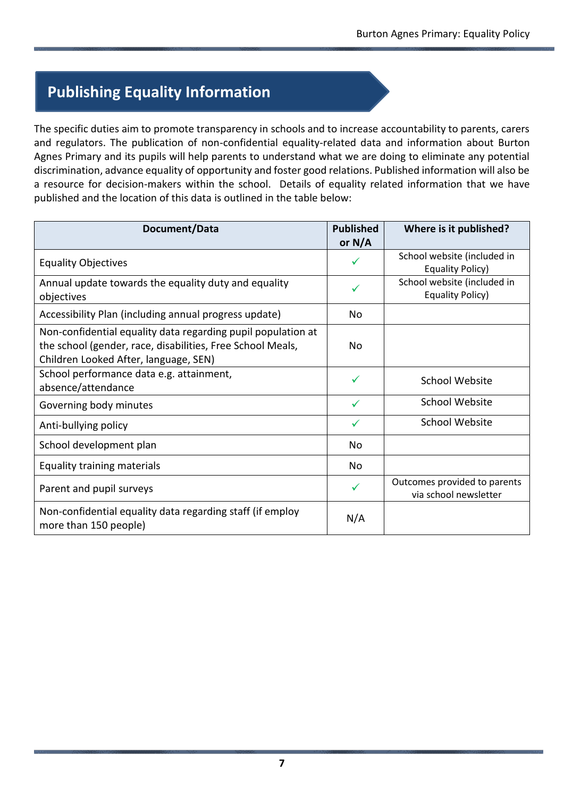## **Publishing Equality Information**

The specific duties aim to promote transparency in schools and to increase accountability to parents, carers and regulators. The publication of non-confidential equality-related data and information about Burton Agnes Primary and its pupils will help parents to understand what we are doing to eliminate any potential discrimination, advance equality of opportunity and foster good relations. Published information will also be a resource for decision-makers within the school. Details of equality related information that we have published and the location of this data is outlined in the table below:

| Document/Data                                                                                                                                                       | <b>Published</b> | Where is it published?                                |
|---------------------------------------------------------------------------------------------------------------------------------------------------------------------|------------------|-------------------------------------------------------|
|                                                                                                                                                                     | or $N/A$         |                                                       |
| <b>Equality Objectives</b>                                                                                                                                          | $\checkmark$     | School website (included in<br>Equality Policy)       |
| Annual update towards the equality duty and equality<br>objectives                                                                                                  | $\checkmark$     | School website (included in<br>Equality Policy)       |
| Accessibility Plan (including annual progress update)                                                                                                               | No               |                                                       |
| Non-confidential equality data regarding pupil population at<br>the school (gender, race, disabilities, Free School Meals,<br>Children Looked After, language, SEN) | No               |                                                       |
| School performance data e.g. attainment,<br>absence/attendance                                                                                                      | $\checkmark$     | <b>School Website</b>                                 |
| Governing body minutes                                                                                                                                              | $\checkmark$     | School Website                                        |
| Anti-bullying policy                                                                                                                                                | $\checkmark$     | <b>School Website</b>                                 |
| School development plan                                                                                                                                             | No               |                                                       |
| <b>Equality training materials</b>                                                                                                                                  | No               |                                                       |
| Parent and pupil surveys                                                                                                                                            | $\checkmark$     | Outcomes provided to parents<br>via school newsletter |
| Non-confidential equality data regarding staff (if employ<br>more than 150 people)                                                                                  | N/A              |                                                       |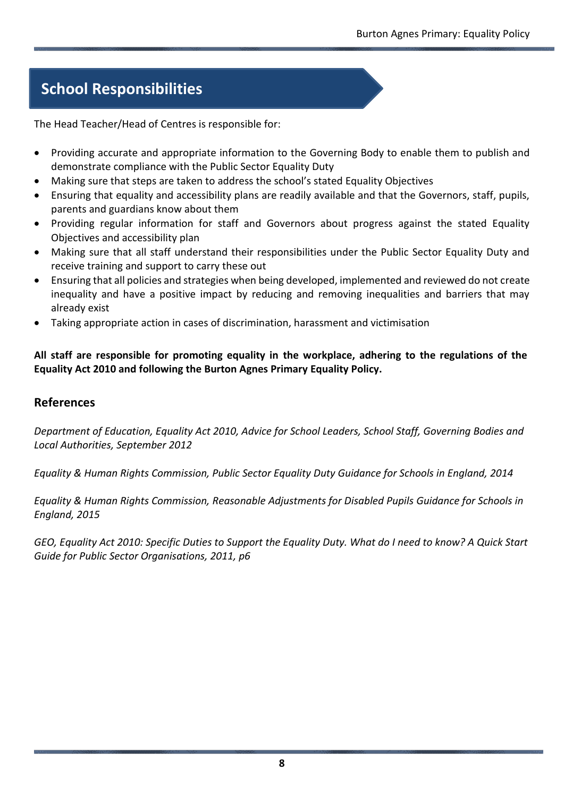## **School Responsibilities**

The Head Teacher/Head of Centres is responsible for:

- Providing accurate and appropriate information to the Governing Body to enable them to publish and demonstrate compliance with the Public Sector Equality Duty
- Making sure that steps are taken to address the school's stated Equality Objectives
- Ensuring that equality and accessibility plans are readily available and that the Governors, staff, pupils, parents and guardians know about them
- Providing regular information for staff and Governors about progress against the stated Equality Objectives and accessibility plan
- Making sure that all staff understand their responsibilities under the Public Sector Equality Duty and receive training and support to carry these out
- Ensuring that all policies and strategies when being developed, implemented and reviewed do not create inequality and have a positive impact by reducing and removing inequalities and barriers that may already exist
- Taking appropriate action in cases of discrimination, harassment and victimisation

**All staff are responsible for promoting equality in the workplace, adhering to the regulations of the Equality Act 2010 and following the Burton Agnes Primary Equality Policy.**

#### **References**

*Department of Education, Equality Act 2010, Advice for School Leaders, School Staff, Governing Bodies and Local Authorities, September 2012*

*Equality & Human Rights Commission, Public Sector Equality Duty Guidance for Schools in England, 2014*

*Equality & Human Rights Commission, Reasonable Adjustments for Disabled Pupils Guidance for Schools in England, 2015*

*GEO, Equality Act 2010: Specific Duties to Support the Equality Duty. What do I need to know? A Quick Start Guide for Public Sector Organisations, 2011, p6*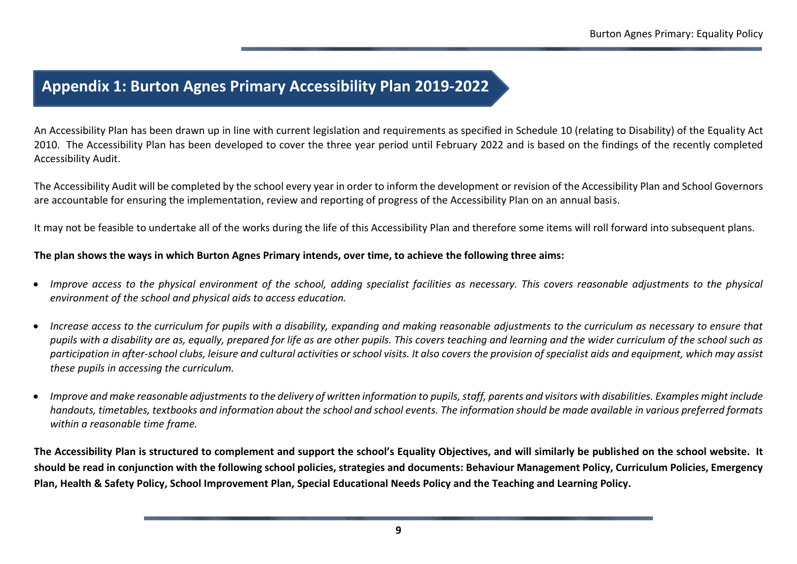#### **Annendiy 1: Rurton Agne Appendix 1: Burton Agnes Primary Accessibility Plan 2019-2022**

An Accessibility Plan has been drawn up in line with current legislation and requirements as specified in Schedule 10 (relating to Disability) of the Equality Act 2010. The Accessibility Plan has been developed to cover the three year period until February 2022 and is based on the findings of the recently completed Accessibility Audit.

The Accessibility Audit will be completed by the school every year in order to inform the development or revision of the Accessibility Plan and School Governors are accountable for ensuring the implementation, review and reporting of progress of the Accessibility Plan on an annual basis.

It may not be feasible to undertake all of the works during the life of this Accessibility Plan and therefore some items will roll forward into subsequent plans.

#### **The plan shows the ways in which Burton Agnes Primary intends, over time, to achieve the following three aims:**

- *Improve access to the physical environment of the school, adding specialist facilities as necessary. This covers reasonable adjustments to the physical environment of the school and physical aids to access education.*
- *Increase access to the curriculum for pupils with a disability, expanding and making reasonable adjustments to the curriculum as necessary to ensure that pupils with a disability are as, equally, prepared for life as are other pupils. This covers teaching and learning and the wider curriculum of the school such as participation in after-school clubs, leisure and cultural activities or school visits. It also covers the provision of specialist aids and equipment, which may assist these pupils in accessing the curriculum.*
- *Improve and make reasonable adjustments to the delivery of written information to pupils, staff, parents and visitors with disabilities. Examples might include handouts, timetables, textbooks and information about the school and school events. The information should be made available in various preferred formats within a reasonable time frame.*

**The Accessibility Plan is structured to complement and support the school's Equality Objectives, and will similarly be published on the school website. It should be read in conjunction with the following school policies, strategies and documents: Behaviour Management Policy, Curriculum Policies, Emergency Plan, Health & Safety Policy, School Improvement Plan, Special Educational Needs Policy and the Teaching and Learning Policy.**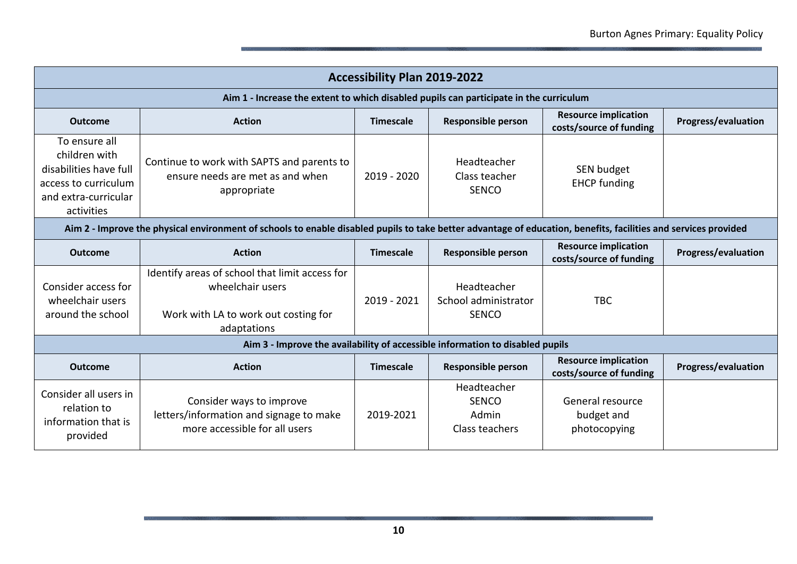| <b>Accessibility Plan 2019-2022</b>                                                                                                                             |                                                                                                                           |                  |                                                        |                                                        |                            |
|-----------------------------------------------------------------------------------------------------------------------------------------------------------------|---------------------------------------------------------------------------------------------------------------------------|------------------|--------------------------------------------------------|--------------------------------------------------------|----------------------------|
| Aim 1 - Increase the extent to which disabled pupils can participate in the curriculum                                                                          |                                                                                                                           |                  |                                                        |                                                        |                            |
| <b>Outcome</b>                                                                                                                                                  | <b>Action</b>                                                                                                             | <b>Timescale</b> | <b>Responsible person</b>                              | <b>Resource implication</b><br>costs/source of funding | <b>Progress/evaluation</b> |
| To ensure all<br>children with<br>disabilities have full<br>access to curriculum<br>and extra-curricular<br>activities                                          | Continue to work with SAPTS and parents to<br>ensure needs are met as and when<br>appropriate                             | 2019 - 2020      | Headteacher<br>Class teacher<br><b>SENCO</b>           | SEN budget<br><b>EHCP</b> funding                      |                            |
| Aim 2 - Improve the physical environment of schools to enable disabled pupils to take better advantage of education, benefits, facilities and services provided |                                                                                                                           |                  |                                                        |                                                        |                            |
| <b>Outcome</b>                                                                                                                                                  | <b>Action</b>                                                                                                             | <b>Timescale</b> | <b>Responsible person</b>                              | <b>Resource implication</b><br>costs/source of funding | <b>Progress/evaluation</b> |
| Consider access for<br>wheelchair users<br>around the school                                                                                                    | Identify areas of school that limit access for<br>wheelchair users<br>Work with LA to work out costing for<br>adaptations | 2019 - 2021      | Headteacher<br>School administrator<br><b>SENCO</b>    | <b>TBC</b>                                             |                            |
| Aim 3 - Improve the availability of accessible information to disabled pupils                                                                                   |                                                                                                                           |                  |                                                        |                                                        |                            |
| <b>Outcome</b>                                                                                                                                                  | <b>Action</b>                                                                                                             | <b>Timescale</b> | <b>Responsible person</b>                              | <b>Resource implication</b><br>costs/source of funding | <b>Progress/evaluation</b> |
| Consider all users in<br>relation to<br>information that is<br>provided                                                                                         | Consider ways to improve<br>letters/information and signage to make<br>more accessible for all users                      | 2019-2021        | Headteacher<br><b>SENCO</b><br>Admin<br>Class teachers | General resource<br>budget and<br>photocopying         |                            |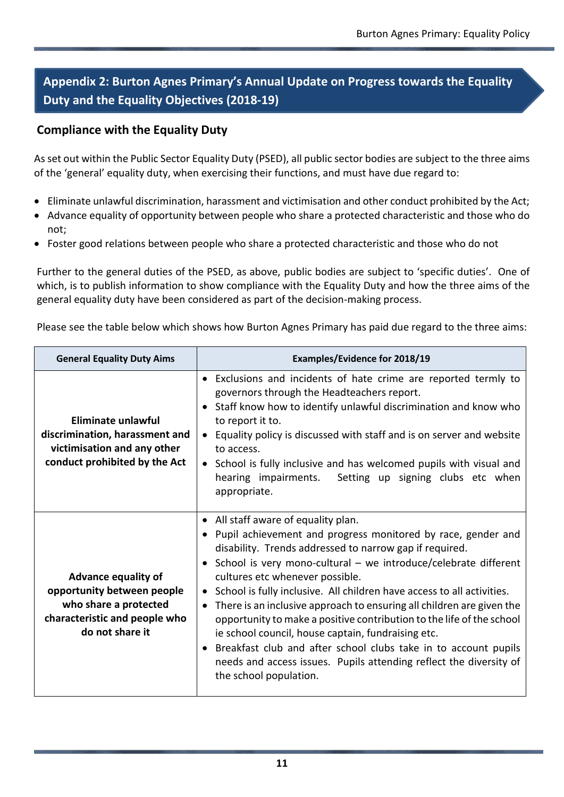### **Appendix 2: Burton Agnes Primary's Annual Update on Progress towards the Equality Duty and the Equality Objectives (2018-19)**

#### **Compliance with the Equality Duty**

As set out within the Public Sector Equality Duty (PSED), all public sector bodies are subject to the three aims of the 'general' equality duty, when exercising their functions, and must have due regard to:

- Eliminate unlawful discrimination, harassment and victimisation and other conduct prohibited by the Act;
- Advance equality of opportunity between people who share a protected characteristic and those who do not;
- Foster good relations between people who share a protected characteristic and those who do not

Further to the general duties of the PSED, as above, public bodies are subject to 'specific duties'. One of which, is to publish information to show compliance with the Equality Duty and how the three aims of the general equality duty have been considered as part of the decision-making process.

Please see the table below which shows how Burton Agnes Primary has paid due regard to the three aims:

| <b>General Equality Duty Aims</b>                                                                                                     | <b>Examples/Evidence for 2018/19</b>                                                                                                                                                                                                                                                                                                                                                                                                                                                                                                                                                                                                                                                                                          |
|---------------------------------------------------------------------------------------------------------------------------------------|-------------------------------------------------------------------------------------------------------------------------------------------------------------------------------------------------------------------------------------------------------------------------------------------------------------------------------------------------------------------------------------------------------------------------------------------------------------------------------------------------------------------------------------------------------------------------------------------------------------------------------------------------------------------------------------------------------------------------------|
| <b>Eliminate unlawful</b><br>discrimination, harassment and<br>victimisation and any other<br>conduct prohibited by the Act           | • Exclusions and incidents of hate crime are reported termly to<br>governors through the Headteachers report.<br>• Staff know how to identify unlawful discrimination and know who<br>to report it to.<br>Equality policy is discussed with staff and is on server and website<br>$\bullet$<br>to access.<br>• School is fully inclusive and has welcomed pupils with visual and<br>Setting up signing clubs etc when<br>hearing impairments.<br>appropriate.                                                                                                                                                                                                                                                                 |
| <b>Advance equality of</b><br>opportunity between people<br>who share a protected<br>characteristic and people who<br>do not share it | • All staff aware of equality plan.<br>• Pupil achievement and progress monitored by race, gender and<br>disability. Trends addressed to narrow gap if required.<br>School is very mono-cultural – we introduce/celebrate different<br>cultures etc whenever possible.<br>School is fully inclusive. All children have access to all activities.<br>There is an inclusive approach to ensuring all children are given the<br>opportunity to make a positive contribution to the life of the school<br>ie school council, house captain, fundraising etc.<br>• Breakfast club and after school clubs take in to account pupils<br>needs and access issues. Pupils attending reflect the diversity of<br>the school population. |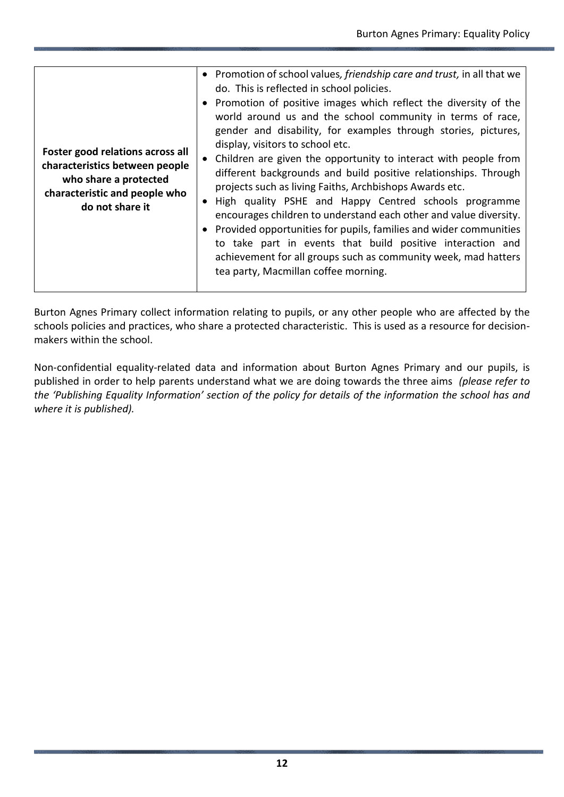Burton Agnes Primary collect information relating to pupils, or any other people who are affected by the schools policies and practices, who share a protected characteristic. This is used as a resource for decisionmakers within the school.

Non-confidential equality-related data and information about Burton Agnes Primary and our pupils, is published in order to help parents understand what we are doing towards the three aims *(please refer to the 'Publishing Equality Information' section of the policy for details of the information the school has and where it is published).*